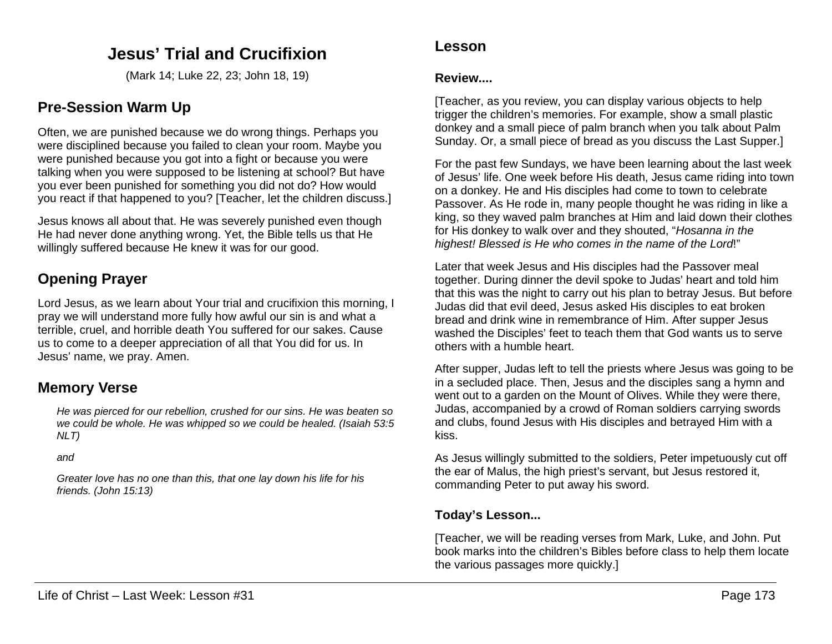# **Jesus' Trial and Crucifixion**

(Mark 14; Luke 22, 23; John 18, 19)

## **Pre-Session Warm Up**

Often, we are punished because we do wrong things. Perhaps you were disciplined because you failed to clean your room. Maybe you were punished because you got into a fight or because you were talking when you were supposed to be listening at school? But have you ever been punished for something you did not do? How would you react if that happened to you? [Teacher, let the children discuss.]

Jesus knows all about that. He was severely punished even though He had never done anything wrong. Yet, the Bible tells us that He willingly suffered because He knew it was for our good.

# **Opening Prayer**

Lord Jesus, as we learn about Your trial and crucifixion this morning, I pray we will understand more fully how awful our sin is and what a terrible, cruel, and horrible death You suffered for our sakes. Cause us to come to a deeper appreciation of all that You did for us. In Jesus' name, we pray. Amen.

# **Memory Verse**

*He was pierced for our rebellion, crushed for our sins. He was beaten so we could be whole. He was whipped so we could be healed. (Isaiah 53:5 NLT)*

*and*

*Greater love has no one than this, that one lay down his life for his friends. (John 15:13)*

## **Lesson**

### **Review....**

[Teacher, as you review, you can display various objects to help trigger the children's memories. For example, show a small plastic donkey and a small piece of palm branch when you talk about Palm Sunday. Or, a small piece of bread as you discuss the Last Supper.]

For the past few Sundays, we have been learning about the last week of Jesus' life. One week before His death, Jesus came riding into town on a donkey. He and His disciples had come to town to celebrate Passover. As He rode in, many people thought he was riding in like a king, so they waved palm branches at Him and laid down their clothes for His donkey to walk over and they shouted, "*Hosanna in the highest! Blessed is He who comes in the name of the Lord*!"

Later that week Jesus and His disciples had the Passover meal together. During dinner the devil spoke to Judas' heart and told him that this was the night to carry out his plan to betray Jesus. But before Judas did that evil deed, Jesus asked His disciples to eat broken bread and drink wine in remembrance of Him. After supper Jesus washed the Disciples' feet to teach them that God wants us to serve others with a humble heart.

After supper, Judas left to tell the priests where Jesus was going to be in a secluded place. Then, Jesus and the disciples sang a hymn and went out to a garden on the Mount of Olives. While they were there, Judas, accompanied by a crowd of Roman soldiers carrying swords and clubs, found Jesus with His disciples and betrayed Him with a kiss.

As Jesus willingly submitted to the soldiers, Peter impetuously cut off the ear of Malus, the high priest's servant, but Jesus restored it, commanding Peter to put away his sword.

## **Today's Lesson...**

[Teacher, we will be reading verses from Mark, Luke, and John. Put book marks into the children's Bibles before class to help them locate the various passages more quickly.]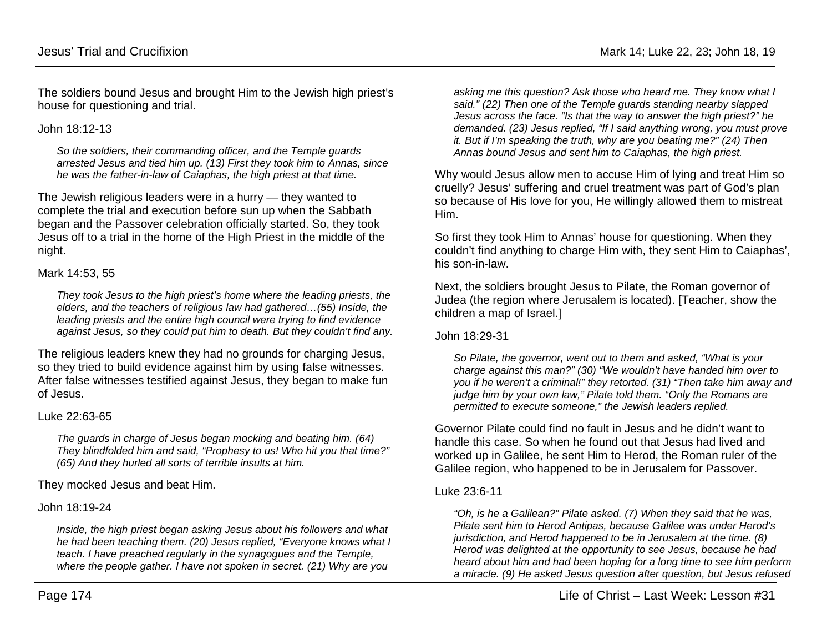The soldiers bound Jesus and brought Him to the Jewish high priest's house for questioning and trial.

John 18:12-13

*So the soldiers, their commanding officer, and the Temple guards arrested Jesus and tied him up. (13) First they took him to Annas, since he was the father-in-law of Caiaphas, the high priest at that time.*

The Jewish religious leaders were in a hurry — they wanted to complete the trial and execution before sun up when the Sabbath began and the Passover celebration officially started. So, they took Jesus off to a trial in the home of the High Priest in the middle of the night.

#### Mark 14:53, 55

*They took Jesus to the high priest's home where the leading priests, the elders, and the teachers of religious law had gathered…(55) Inside, the leading priests and the entire high council were trying to find evidence against Jesus, so they could put him to death. But they couldn't find any.*

The religious leaders knew they had no grounds for charging Jesus, so they tried to build evidence against him by using false witnesses. After false witnesses testified against Jesus, they began to make fun of Jesus.

#### Luke 22:63-65

*The guards in charge of Jesus began mocking and beating him. (64) They blindfolded him and said, "Prophesy to us! Who hit you that time?" (65) And they hurled all sorts of terrible insults at him.*

They mocked Jesus and beat Him.

John 18:19-24

*Inside, the high priest began asking Jesus about his followers and what he had been teaching them. (20) Jesus replied, "Everyone knows what I teach. I have preached regularly in the synagogues and the Temple, where the people gather. I have not spoken in secret. (21) Why are you* 

*asking me this question? Ask those who heard me. They know what I said." (22) Then one of the Temple guards standing nearby slapped Jesus across the face. "Is that the way to answer the high priest?" he demanded. (23) Jesus replied, "If I said anything wrong, you must prove it. But if I'm speaking the truth, why are you beating me?" (24) Then Annas bound Jesus and sent him to Caiaphas, the high priest.*

Why would Jesus allow men to accuse Him of lying and treat Him so cruelly? Jesus' suffering and cruel treatment was part of God's plan so because of His love for you, He willingly allowed them to mistreat Him.

So first they took Him to Annas' house for questioning. When they couldn't find anything to charge Him with, they sent Him to Caiaphas', his son-in-law.

Next, the soldiers brought Jesus to Pilate, the Roman governor of Judea (the region where Jerusalem is located). [Teacher, show the children a map of Israel.]

John 18:29-31

*So Pilate, the governor, went out to them and asked, "What is your charge against this man?" (30) "We wouldn't have handed him over to you if he weren't a criminal!" they retorted. (31) "Then take him away and judge him by your own law," Pilate told them. "Only the Romans are permitted to execute someone," the Jewish leaders replied.*

Governor Pilate could find no fault in Jesus and he didn't want to handle this case. So when he found out that Jesus had lived and worked up in Galilee, he sent Him to Herod, the Roman ruler of the Galilee region, who happened to be in Jerusalem for Passover.

### Luke 23:6-11

*"Oh, is he a Galilean?" Pilate asked. (7) When they said that he was, Pilate sent him to Herod Antipas, because Galilee was under Herod's jurisdiction, and Herod happened to be in Jerusalem at the time. (8) Herod was delighted at the opportunity to see Jesus, because he had heard about him and had been hoping for a long time to see him perform a miracle. (9) He asked Jesus question after question, but Jesus refused*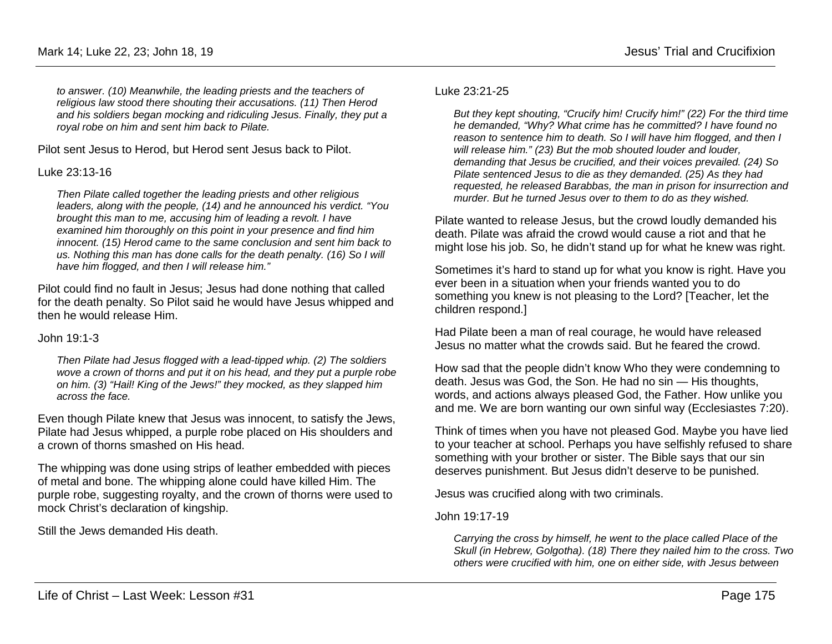*to answer. (10) Meanwhile, the leading priests and the teachers of religious law stood there shouting their accusations. (11) Then Herod and his soldiers began mocking and ridiculing Jesus. Finally, they put a royal robe on him and sent him back to Pilate.*

Pilot sent Jesus to Herod, but Herod sent Jesus back to Pilot.

### Luke 23:13-16

*Then Pilate called together the leading priests and other religious leaders, along with the people, (14) and he announced his verdict. "You brought this man to me, accusing him of leading a revolt. I have examined him thoroughly on this point in your presence and find him innocent. (15) Herod came to the same conclusion and sent him back to us. Nothing this man has done calls for the death penalty. (16) So I will have him flogged, and then I will release him."*

Pilot could find no fault in Jesus; Jesus had done nothing that called for the death penalty. So Pilot said he would have Jesus whipped and then he would release Him.

John 19:1-3

*Then Pilate had Jesus flogged with a lead-tipped whip. (2) The soldiers wove a crown of thorns and put it on his head, and they put a purple robe on him. (3) "Hail! King of the Jews!" they mocked, as they slapped him across the face.*

Even though Pilate knew that Jesus was innocent, to satisfy the Jews, Pilate had Jesus whipped, a purple robe placed on His shoulders and a crown of thorns smashed on His head.

The whipping was done using strips of leather embedded with pieces of metal and bone. The whipping alone could have killed Him. The purple robe, suggesting royalty, and the crown of thorns were used to mock Christ's declaration of kingship.

Still the Jews demanded His death.

### Luke 23:21-25

*But they kept shouting, "Crucify him! Crucify him!" (22) For the third time he demanded, "Why? What crime has he committed? I have found no reason to sentence him to death. So I will have him flogged, and then I will release him." (23) But the mob shouted louder and louder, demanding that Jesus be crucified, and their voices prevailed. (24) So Pilate sentenced Jesus to die as they demanded. (25) As they had requested, he released Barabbas, the man in prison for insurrection and murder. But he turned Jesus over to them to do as they wished.*

Pilate wanted to release Jesus, but the crowd loudly demanded his death. Pilate was afraid the crowd would cause a riot and that he might lose his job. So, he didn't stand up for what he knew was right.

Sometimes it's hard to stand up for what you know is right. Have you ever been in a situation when your friends wanted you to do something you knew is not pleasing to the Lord? [Teacher, let the children respond.]

Had Pilate been a man of real courage, he would have released Jesus no matter what the crowds said. But he feared the crowd.

How sad that the people didn't know Who they were condemning to death. Jesus was God, the Son. He had no sin — His thoughts, words, and actions always pleased God, the Father. How unlike you and me. We are born wanting our own sinful way (Ecclesiastes 7:20).

Think of times when you have not pleased God. Maybe you have lied to your teacher at school. Perhaps you have selfishly refused to share something with your brother or sister. The Bible says that our sin deserves punishment. But Jesus didn't deserve to be punished.

Jesus was crucified along with two criminals.

John 19:17-19

*Carrying the cross by himself, he went to the place called Place of the Skull (in Hebrew, Golgotha). (18) There they nailed him to the cross. Two others were crucified with him, one on either side, with Jesus between*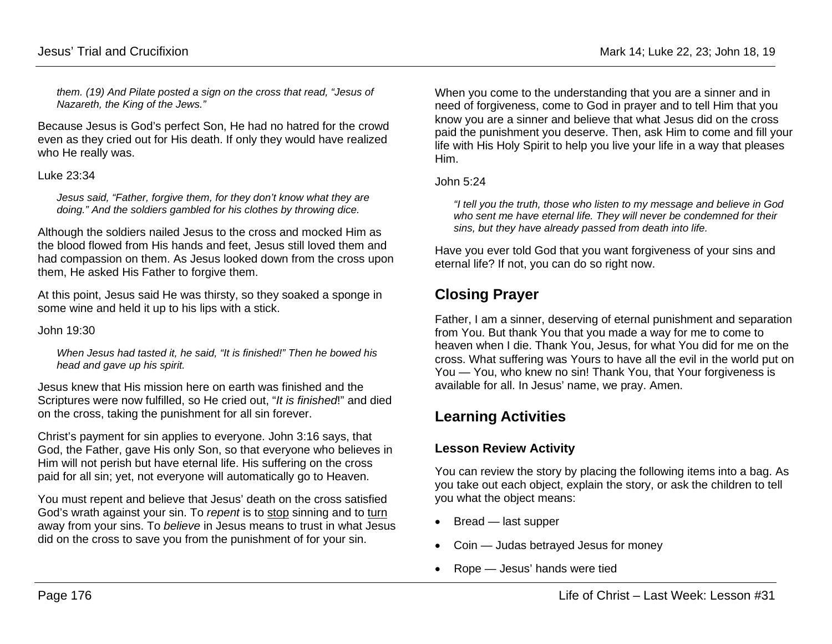*them. (19) And Pilate posted a sign on the cross that read, "Jesus of Nazareth, the King of the Jews."*

Because Jesus is God's perfect Son, He had no hatred for the crowd even as they cried out for His death. If only they would have realized who He really was.

#### Luke 23:34

*Jesus said, "Father, forgive them, for they don't know what they are doing." And the soldiers gambled for his clothes by throwing dice.* 

Although the soldiers nailed Jesus to the cross and mocked Him as the blood flowed from His hands and feet, Jesus still loved them and had compassion on them. As Jesus looked down from the cross upon them, He asked His Father to forgive them.

At this point, Jesus said He was thirsty, so they soaked a sponge in some wine and held it up to his lips with a stick.

John 19:30

*When Jesus had tasted it, he said, "It is finished!" Then he bowed his head and gave up his spirit.*

Jesus knew that His mission here on earth was finished and the Scriptures were now fulfilled, so He cried out, "*It is finished*!" and died on the cross, taking the punishment for all sin forever.

Christ's payment for sin applies to everyone. John 3:16 says, that God, the Father, gave His only Son, so that everyone who believes in Him will not perish but have eternal life. His suffering on the cross paid for all sin; yet, not everyone will automatically go to Heaven.

You must repent and believe that Jesus' death on the cross satisfied God's wrath against your sin. To *repent* is to stop sinning and to turn away from your sins. To *believe* in Jesus means to trust in what Jesus did on the cross to save you from the punishment of for your sin.

When you come to the understanding that you are a sinner and in need of forgiveness, come to God in prayer and to tell Him that you know you are a sinner and believe that what Jesus did on the cross paid the punishment you deserve. Then, ask Him to come and fill your life with His Holy Spirit to help you live your life in a way that pleases Him.

John 5:24

*"I tell you the truth, those who listen to my message and believe in God who sent me have eternal life. They will never be condemned for their sins, but they have already passed from death into life.*

Have you ever told God that you want forgiveness of your sins and eternal life? If not, you can do so right now.

# **Closing Prayer**

Father, I am a sinner, deserving of eternal punishment and separation from You. But thank You that you made a way for me to come to heaven when I die. Thank You, Jesus, for what You did for me on the cross. What suffering was Yours to have all the evil in the world put on You — You, who knew no sin! Thank You, that Your forgiveness is available for all. In Jesus' name, we pray. Amen.

# **Learning Activities**

## **Lesson Review Activity**

You can review the story by placing the following items into a bag. As you take out each object, explain the story, or ask the children to tell you what the object means:

- Bread last supper
- Coin Judas betrayed Jesus for money
- Rope Jesus' hands were tied